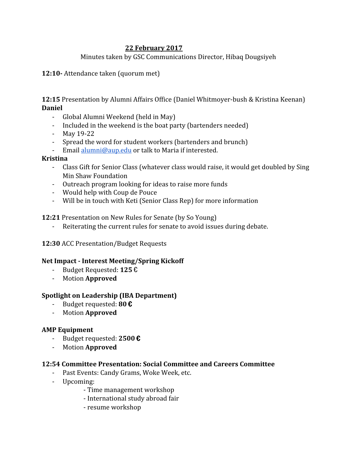# **22 February 2017**

# Minutes taken by GSC Communications Director, Hibaq Dougsiyeh

**12:10-** Attendance taken (quorum met)

**12:15** Presentation by Alumni Affairs Office (Daniel Whitmoyer-bush & Kristina Keenan) **Daniel**

- Global Alumni Weekend (held in May)
- Included in the weekend is the boat party (bartenders needed)
- May 19-22
- Spread the word for student workers (bartenders and brunch)
- Email [alumni@aup.edu](mailto:alumni@aup.edu) or talk to Maria if interested.

# **Kristina**

- Class Gift for Senior Class (whatever class would raise, it would get doubled by Sing Min Shaw Foundation
- Outreach program looking for ideas to raise more funds
- Would help with Coup de Pouce
- Will be in touch with Keti (Senior Class Rep) for more information

# **12:21** Presentation on New Rules for Senate (by So Young)

- Reiterating the current rules for senate to avoid issues during debate.
- **12:30** ACC Presentation/Budget Requests

# **Net Impact - Interest Meeting/Spring Kickoff**

- Budget Requested: **125** €
- Motion **Approved**

# **Spotlight on Leadership (IBA Department)**

- Budget requested: **80** €
- Motion **Approved**

# **AMP Equipment**

- Budget requested: **2500** €
- Motion **Approved**

#### **12:54 Committee Presentation: Social Committee and Careers Committee**

- Past Events: Candy Grams, Woke Week, etc.
- Upcoming:
	- Time management workshop
	- International study abroad fair
	- resume workshop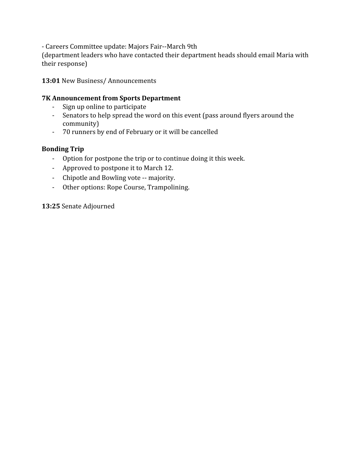- Careers Committee update: Majors Fair--March 9th

(department leaders who have contacted their department heads should email Maria with their response)

# **13:01** New Business/ Announcements

### **7K Announcement from Sports Department**

- Sign up online to participate
- Senators to help spread the word on this event (pass around flyers around the community)
- 70 runners by end of February or it will be cancelled

# **Bonding Trip**

- Option for postpone the trip or to continue doing it this week.
- Approved to postpone it to March 12.
- Chipotle and Bowling vote -- majority.
- Other options: Rope Course, Trampolining.

**13:25** Senate Adjourned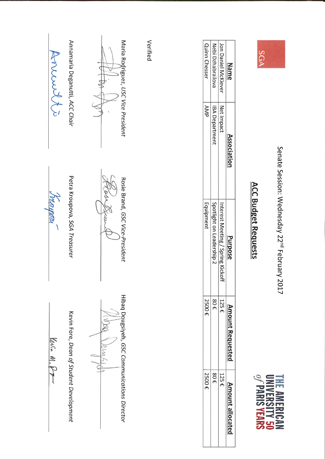

Senate Session: Wednesday 22<sup>nd</sup> February 2017



# **ACC Budget Requests**

| Name                | Association          | <b>Purpose</b>                    | moun<br>it Kequeste         | ž<br>t allocat |
|---------------------|----------------------|-----------------------------------|-----------------------------|----------------|
|                     |                      |                                   |                             |                |
| Jon Daniel McKiever | Net Impact           | Interest Meeting / Spring Kickoff | 125<br>$\ddot{\phantom{1}}$ | 125 €          |
| Nebi Dzhabrailova   | <b>BA Department</b> | Spotlight on Leadership 2         | 30 E                        | 30 E           |
| Quinn Chesser       | AMA                  | Equipment                         | 2500 €                      | 2500 €         |
|                     |                      |                                   |                             |                |

Verified

Maria Rogriguez, USC Vice President

Annewsts

Annamaria Deganutti, ACC Chair

Petra Kroupova, SGA Treasurer

*Tranger* 

tee

Rosie Brand, GSC Vice-President

Kevin Fore, Dean of Student Development

levin M. Pr

Hibaq Dougsiyeh, GSC Communications Director